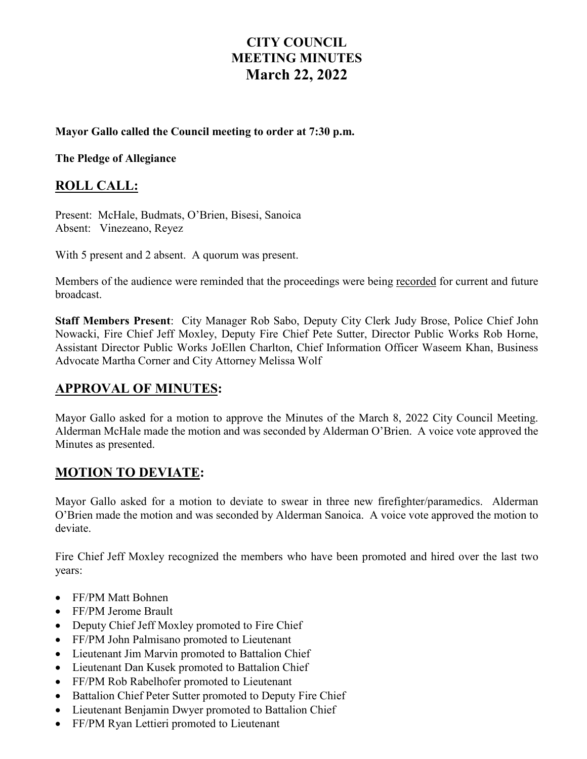# **CITY COUNCIL MEETING MINUTES March 22, 2022**

#### **Mayor Gallo called the Council meeting to order at 7:30 p.m.**

**The Pledge of Allegiance** 

#### **ROLL CALL:**

Present: McHale, Budmats, O'Brien, Bisesi, Sanoica Absent: Vinezeano, Reyez

With 5 present and 2 absent. A quorum was present.

Members of the audience were reminded that the proceedings were being recorded for current and future broadcast.

**Staff Members Present**: City Manager Rob Sabo, Deputy City Clerk Judy Brose, Police Chief John Nowacki, Fire Chief Jeff Moxley, Deputy Fire Chief Pete Sutter, Director Public Works Rob Horne, Assistant Director Public Works JoEllen Charlton, Chief Information Officer Waseem Khan, Business Advocate Martha Corner and City Attorney Melissa Wolf

### **APPROVAL OF MINUTES:**

Mayor Gallo asked for a motion to approve the Minutes of the March 8, 2022 City Council Meeting. Alderman McHale made the motion and was seconded by Alderman O'Brien. A voice vote approved the Minutes as presented.

### **MOTION TO DEVIATE:**

Mayor Gallo asked for a motion to deviate to swear in three new firefighter/paramedics. Alderman O'Brien made the motion and was seconded by Alderman Sanoica. A voice vote approved the motion to deviate.

Fire Chief Jeff Moxley recognized the members who have been promoted and hired over the last two years:

- FF/PM Matt Bohnen
- FF/PM Jerome Brault
- Deputy Chief Jeff Moxley promoted to Fire Chief
- FF/PM John Palmisano promoted to Lieutenant
- Lieutenant Jim Marvin promoted to Battalion Chief
- Lieutenant Dan Kusek promoted to Battalion Chief
- FF/PM Rob Rabelhofer promoted to Lieutenant
- Battalion Chief Peter Sutter promoted to Deputy Fire Chief
- Lieutenant Benjamin Dwyer promoted to Battalion Chief
- FF/PM Ryan Lettieri promoted to Lieutenant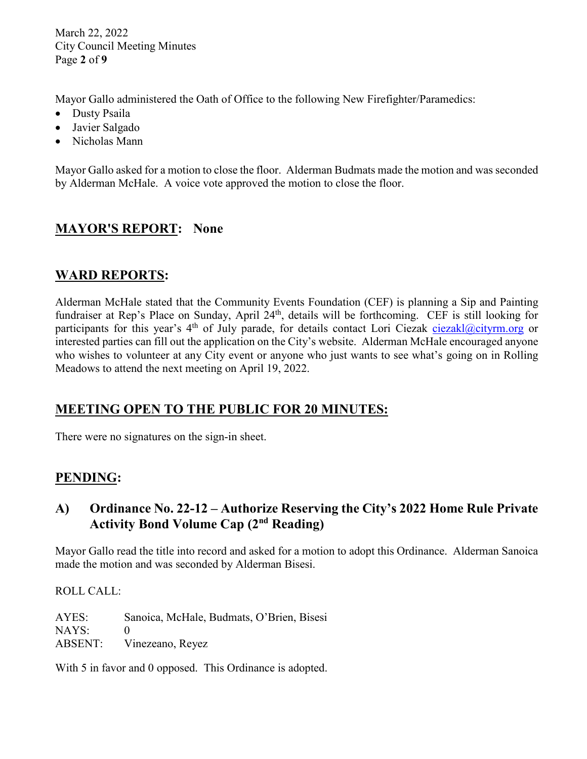March 22, 2022 City Council Meeting Minutes Page **2** of **9**

Mayor Gallo administered the Oath of Office to the following New Firefighter/Paramedics:

- Dusty Psaila
- Javier Salgado
- Nicholas Mann

Mayor Gallo asked for a motion to close the floor. Alderman Budmats made the motion and was seconded by Alderman McHale. A voice vote approved the motion to close the floor.

# **MAYOR'S REPORT: None**

## **WARD REPORTS:**

Alderman McHale stated that the Community Events Foundation (CEF) is planning a Sip and Painting fundraiser at Rep's Place on Sunday, April 24<sup>th</sup>, details will be forthcoming. CEF is still looking for participants for this year's 4<sup>th</sup> of July parade, for details contact Lori Ciezak [ciezakl@cityrm.org](mailto:ciezakl@cityrm.org) or interested parties can fill out the application on the City's website. Alderman McHale encouraged anyone who wishes to volunteer at any City event or anyone who just wants to see what's going on in Rolling Meadows to attend the next meeting on April 19, 2022.

# **MEETING OPEN TO THE PUBLIC FOR 20 MINUTES:**

There were no signatures on the sign-in sheet.

## **PENDING:**

### **A) Ordinance No. 22-12 – Authorize Reserving the City's 2022 Home Rule Private Activity Bond Volume Cap (2nd Reading)**

Mayor Gallo read the title into record and asked for a motion to adopt this Ordinance. Alderman Sanoica made the motion and was seconded by Alderman Bisesi.

ROLL CALL:

AYES: Sanoica, McHale, Budmats, O'Brien, Bisesi NAYS: 0 ABSENT: Vinezeano, Reyez

With 5 in favor and 0 opposed. This Ordinance is adopted.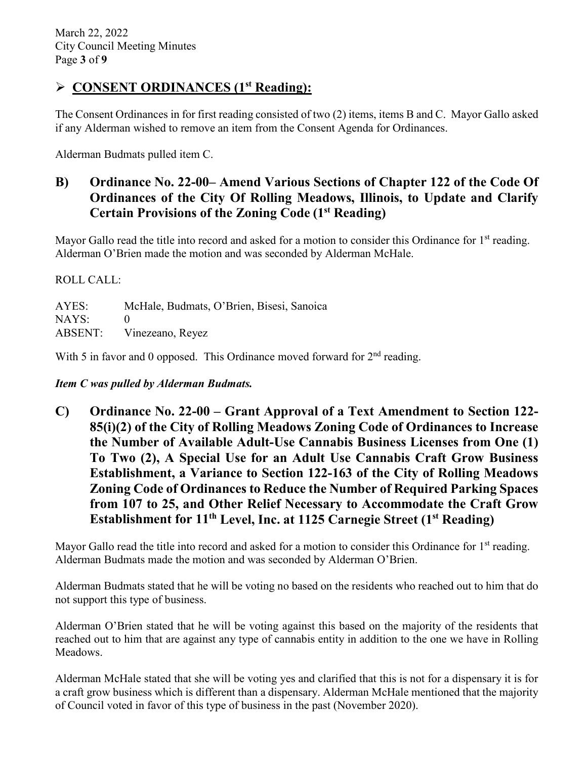## **CONSENT ORDINANCES (1st Reading):**

The Consent Ordinances in for first reading consisted of two (2) items, items B and C. Mayor Gallo asked if any Alderman wished to remove an item from the Consent Agenda for Ordinances.

Alderman Budmats pulled item C.

## **B) Ordinance No. 22-00– Amend Various Sections of Chapter 122 of the Code Of Ordinances of the City Of Rolling Meadows, Illinois, to Update and Clarify Certain Provisions of the Zoning Code (1st Reading)**

Mayor Gallo read the title into record and asked for a motion to consider this Ordinance for  $1<sup>st</sup>$  reading. Alderman O'Brien made the motion and was seconded by Alderman McHale.

ROLL CALL:

AYES: McHale, Budmats, O'Brien, Bisesi, Sanoica NAYS: 0 ABSENT: Vinezeano, Reyez

With 5 in favor and 0 opposed. This Ordinance moved forward for  $2<sup>nd</sup>$  reading.

*Item C was pulled by Alderman Budmats.*

**C) Ordinance No. 22-00 – Grant Approval of a Text Amendment to Section 122- 85(i)(2) of the City of Rolling Meadows Zoning Code of Ordinances to Increase the Number of Available Adult-Use Cannabis Business Licenses from One (1) To Two (2), A Special Use for an Adult Use Cannabis Craft Grow Business Establishment, a Variance to Section 122-163 of the City of Rolling Meadows Zoning Code of Ordinances to Reduce the Number of Required Parking Spaces from 107 to 25, and Other Relief Necessary to Accommodate the Craft Grow Establishment for 11th Level, Inc. at 1125 Carnegie Street (1st Reading)**

Mayor Gallo read the title into record and asked for a motion to consider this Ordinance for 1<sup>st</sup> reading. Alderman Budmats made the motion and was seconded by Alderman O'Brien.

Alderman Budmats stated that he will be voting no based on the residents who reached out to him that do not support this type of business.

Alderman O'Brien stated that he will be voting against this based on the majority of the residents that reached out to him that are against any type of cannabis entity in addition to the one we have in Rolling Meadows.

Alderman McHale stated that she will be voting yes and clarified that this is not for a dispensary it is for a craft grow business which is different than a dispensary. Alderman McHale mentioned that the majority of Council voted in favor of this type of business in the past (November 2020).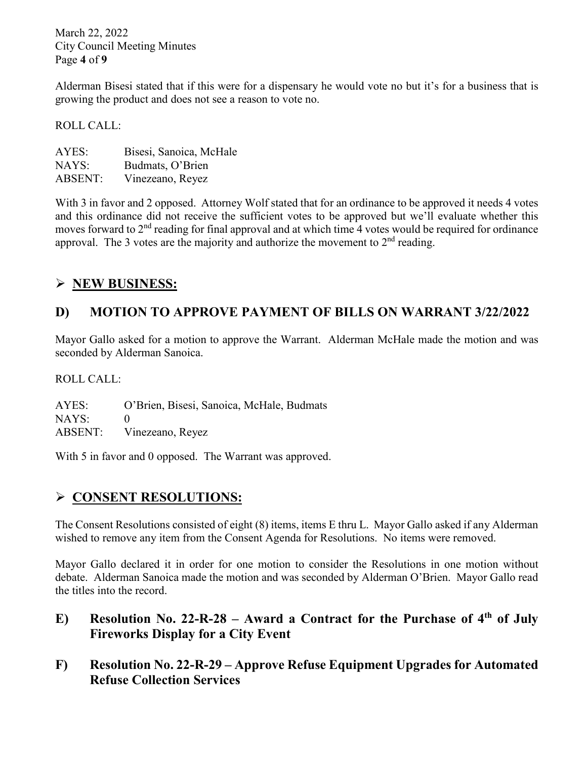March 22, 2022 City Council Meeting Minutes Page **4** of **9**

Alderman Bisesi stated that if this were for a dispensary he would vote no but it's for a business that is growing the product and does not see a reason to vote no.

ROLL CALL:

| AYES:          | Bisesi, Sanoica, McHale |
|----------------|-------------------------|
| NAYS:          | Budmats, O'Brien        |
| <b>ABSENT:</b> | Vinezeano, Reyez        |

With 3 in favor and 2 opposed. Attorney Wolf stated that for an ordinance to be approved it needs 4 votes and this ordinance did not receive the sufficient votes to be approved but we'll evaluate whether this moves forward to 2<sup>nd</sup> reading for final approval and at which time 4 votes would be required for ordinance approval. The 3 votes are the majority and authorize the movement to  $2<sup>nd</sup>$  reading.

## **NEW BUSINESS:**

## **D) MOTION TO APPROVE PAYMENT OF BILLS ON WARRANT 3/22/2022**

Mayor Gallo asked for a motion to approve the Warrant. Alderman McHale made the motion and was seconded by Alderman Sanoica.

ROLL CALL:

AYES: O'Brien, Bisesi, Sanoica, McHale, Budmats  $NAYS: 0$ ABSENT: Vinezeano, Reyez

With 5 in favor and 0 opposed. The Warrant was approved.

### **CONSENT RESOLUTIONS:**

The Consent Resolutions consisted of eight (8) items, items E thru L. Mayor Gallo asked if any Alderman wished to remove any item from the Consent Agenda for Resolutions. No items were removed.

Mayor Gallo declared it in order for one motion to consider the Resolutions in one motion without debate. Alderman Sanoica made the motion and was seconded by Alderman O'Brien. Mayor Gallo read the titles into the record.

- **E) Resolution No. 22-R-28 – Award a Contract for the Purchase of 4th of July Fireworks Display for a City Event**
- **F) Resolution No. 22-R-29 – Approve Refuse Equipment Upgrades for Automated Refuse Collection Services**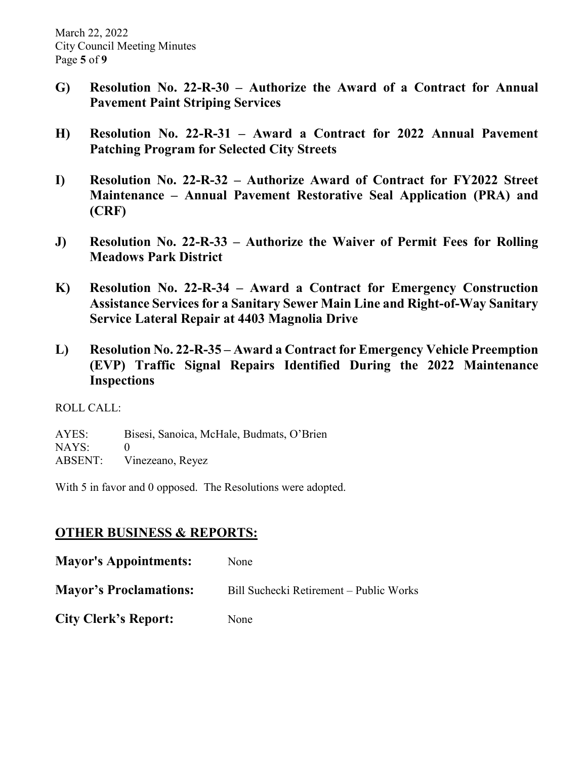- **G) Resolution No. 22-R-30 – Authorize the Award of a Contract for Annual Pavement Paint Striping Services**
- **H) Resolution No. 22-R-31 – Award a Contract for 2022 Annual Pavement Patching Program for Selected City Streets**
- **I) Resolution No. 22-R-32 – Authorize Award of Contract for FY2022 Street Maintenance – Annual Pavement Restorative Seal Application (PRA) and (CRF)**
- **J) Resolution No. 22-R-33 – Authorize the Waiver of Permit Fees for Rolling Meadows Park District**
- **K) Resolution No. 22-R-34 – Award a Contract for Emergency Construction Assistance Services for a Sanitary Sewer Main Line and Right-of-Way Sanitary Service Lateral Repair at 4403 Magnolia Drive**
- **L) Resolution No. 22-R-35 – Award a Contract for Emergency Vehicle Preemption (EVP) Traffic Signal Repairs Identified During the 2022 Maintenance Inspections**

ROLL CALL:

AYES: Bisesi, Sanoica, McHale, Budmats, O'Brien NAYS: 0 ABSENT: Vinezeano, Reyez

With 5 in favor and 0 opposed. The Resolutions were adopted.

## **OTHER BUSINESS & REPORTS:**

| <b>Mayor's Appointments:</b>  | None                                    |
|-------------------------------|-----------------------------------------|
| <b>Mayor's Proclamations:</b> | Bill Suchecki Retirement – Public Works |
| <b>City Clerk's Report:</b>   | None                                    |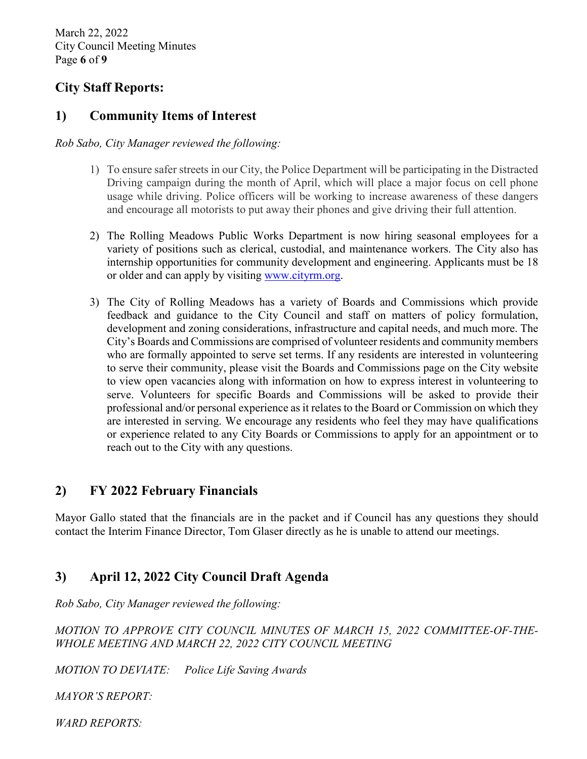March 22, 2022 City Council Meeting Minutes Page **6** of **9**

### **City Staff Reports:**

#### **1) Community Items of Interest**

*Rob Sabo, City Manager reviewed the following:* 

- 1) To ensure safer streets in our City, the Police Department will be participating in the Distracted Driving campaign during the month of April, which will place a major focus on cell phone usage while driving. Police officers will be working to increase awareness of these dangers and encourage all motorists to put away their phones and give driving their full attention.
- 2) The Rolling Meadows Public Works Department is now hiring seasonal employees for a variety of positions such as clerical, custodial, and maintenance workers. The City also has internship opportunities for community development and engineering. Applicants must be 18 or older and can apply by visiting [www.cityrm.org.](http://www.cityrm.org/)
- 3) The City of Rolling Meadows has a variety of Boards and Commissions which provide feedback and guidance to the City Council and staff on matters of policy formulation, development and zoning considerations, infrastructure and capital needs, and much more. The City's Boards and Commissions are comprised of volunteer residents and community members who are formally appointed to serve set terms. If any residents are interested in volunteering to serve their community, please visit the Boards and Commissions page on the City website to view open vacancies along with information on how to express interest in volunteering to serve. Volunteers for specific Boards and Commissions will be asked to provide their professional and/or personal experience as it relates to the Board or Commission on which they are interested in serving. We encourage any residents who feel they may have qualifications or experience related to any City Boards or Commissions to apply for an appointment or to reach out to the City with any questions.

### **2) FY 2022 February Financials**

Mayor Gallo stated that the financials are in the packet and if Council has any questions they should contact the Interim Finance Director, Tom Glaser directly as he is unable to attend our meetings.

### **3) April 12, 2022 City Council Draft Agenda**

*Rob Sabo, City Manager reviewed the following:* 

*MOTION TO APPROVE CITY COUNCIL MINUTES OF MARCH 15, 2022 COMMITTEE-OF-THE-WHOLE MEETING AND MARCH 22, 2022 CITY COUNCIL MEETING* 

*MOTION TO DEVIATE: Police Life Saving Awards*

*MAYOR'S REPORT:*

*WARD REPORTS:*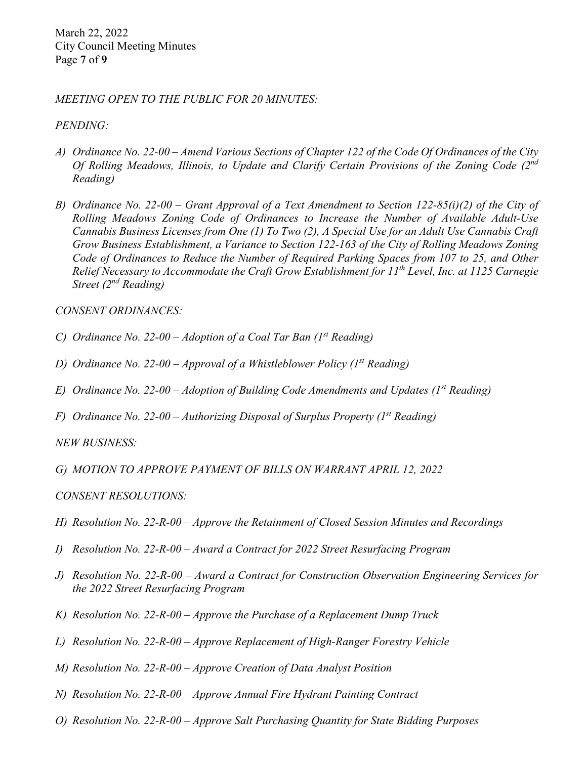March 22, 2022 City Council Meeting Minutes Page **7** of **9**

*MEETING OPEN TO THE PUBLIC FOR 20 MINUTES:* 

*PENDING:* 

- *A) Ordinance No. 22-00 – Amend Various Sections of Chapter 122 of the Code Of Ordinances of the City Of Rolling Meadows, Illinois, to Update and Clarify Certain Provisions of the Zoning Code (2nd Reading)*
- *B) Ordinance No. 22-00 – Grant Approval of a Text Amendment to Section 122-85(i)(2) of the City of Rolling Meadows Zoning Code of Ordinances to Increase the Number of Available Adult-Use Cannabis Business Licenses from One (1) To Two (2), A Special Use for an Adult Use Cannabis Craft Grow Business Establishment, a Variance to Section 122-163 of the City of Rolling Meadows Zoning Code of Ordinances to Reduce the Number of Required Parking Spaces from 107 to 25, and Other Relief Necessary to Accommodate the Craft Grow Establishment for 11th Level, Inc. at 1125 Carnegie Street (2nd Reading)*

*CONSENT ORDINANCES:* 

- *C) Ordinance No. 22-00 – Adoption of a Coal Tar Ban (1st Reading)*
- *D) Ordinance No. 22-00 – Approval of a Whistleblower Policy (1st Reading)*
- *E) Ordinance No. 22-00 – Adoption of Building Code Amendments and Updates (1st Reading)*
- *F) Ordinance No. 22-00 – Authorizing Disposal of Surplus Property (1st Reading)*

*NEW BUSINESS:*

- *G) MOTION TO APPROVE PAYMENT OF BILLS ON WARRANT APRIL 12, 2022*
- *CONSENT RESOLUTIONS:*
- *H) Resolution No. 22-R-00 – Approve the Retainment of Closed Session Minutes and Recordings*
- *I) Resolution No. 22-R-00 – Award a Contract for 2022 Street Resurfacing Program*
- *J) Resolution No. 22-R-00 – Award a Contract for Construction Observation Engineering Services for the 2022 Street Resurfacing Program*
- *K) Resolution No. 22-R-00 – Approve the Purchase of a Replacement Dump Truck*
- *L) Resolution No. 22-R-00 – Approve Replacement of High-Ranger Forestry Vehicle*
- *M) Resolution No. 22-R-00 – Approve Creation of Data Analyst Position*
- *N) Resolution No. 22-R-00 – Approve Annual Fire Hydrant Painting Contract*
- *O) Resolution No. 22-R-00 – Approve Salt Purchasing Quantity for State Bidding Purposes*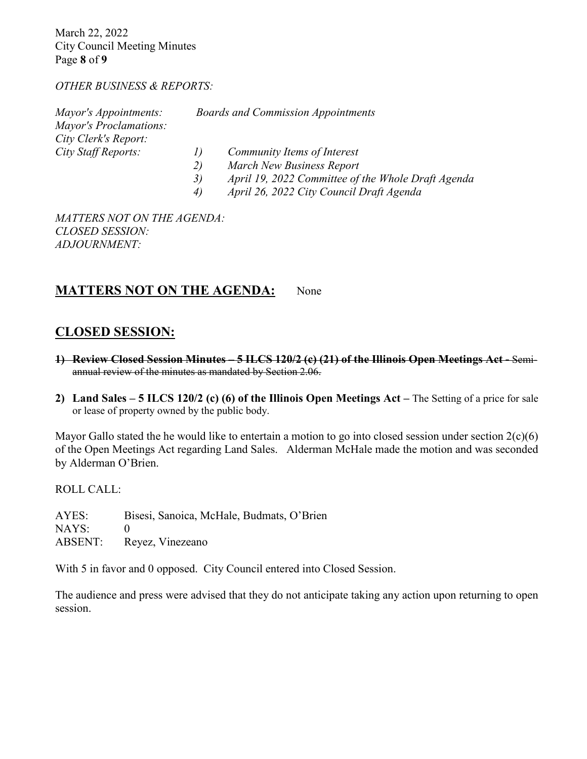March 22, 2022 City Council Meeting Minutes Page **8** of **9**

#### *OTHER BUSINESS & REPORTS:*

|    | <b>Boards and Commission Appointments</b>          |
|----|----------------------------------------------------|
|    |                                                    |
|    |                                                    |
|    | Community Items of Interest                        |
| 2) | March New Business Report                          |
| 3) | April 19, 2022 Committee of the Whole Draft Agenda |
| 4) | April 26, 2022 City Council Draft Agenda           |
|    |                                                    |

*MATTERS NOT ON THE AGENDA: CLOSED SESSION: ADJOURNMENT:* 

#### **MATTERS NOT ON THE AGENDA:** None

#### **CLOSED SESSION:**

- **1) Review Closed Session Minutes – 5 ILCS 120/2 (c) (21) of the Illinois Open Meetings Act -** Semiannual review of the minutes as mandated by Section 2.06.
- **2) Land Sales – 5 ILCS 120/2 (c) (6) of the Illinois Open Meetings Act –** The Setting of a price for sale or lease of property owned by the public body.

Mayor Gallo stated the he would like to entertain a motion to go into closed session under section  $2(c)(6)$ of the Open Meetings Act regarding Land Sales. Alderman McHale made the motion and was seconded by Alderman O'Brien.

ROLL CALL:

AYES: Bisesi, Sanoica, McHale, Budmats, O'Brien NAYS: 0 ABSENT: Reyez, Vinezeano

With 5 in favor and 0 opposed. City Council entered into Closed Session.

The audience and press were advised that they do not anticipate taking any action upon returning to open session.